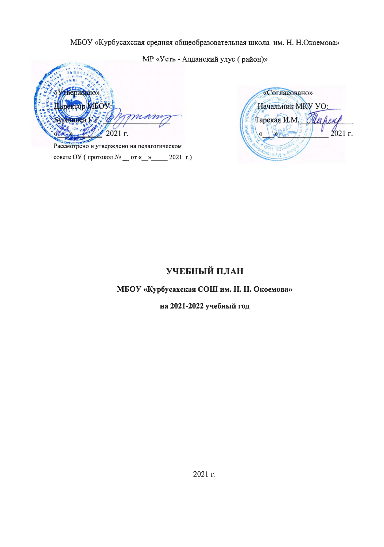## МБОУ «Курбусахская средняя общеобразовательная школа им. Н. Н.Окоемова»

МР «Усть - Алданский улус (район)» ерждаю» KTOR **IEO** нашеї 2021 г.

«Согласовано» Начальник МКУ УО: Тарская И.М. 2021 г. WAHNTW

Рассмотрено и утверждено на педагогическом совете ОУ (протокол № \_\_ от «\_ » \_\_ 2021 г.)

# УЧЕБНЫЙ ПЛАН

## МБОУ «Курбусахская СОШ им. Н. Н. Окоемова»

на 2021-2022 учебный год

2021 г.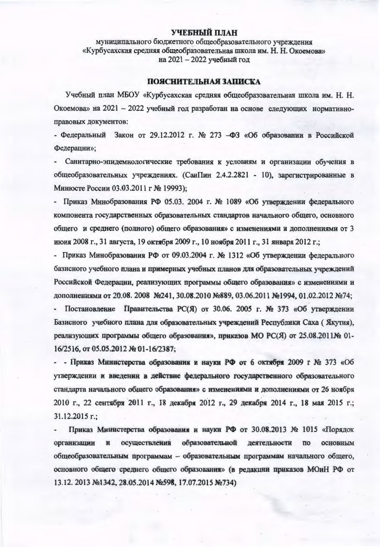### УЧЕБНЫЙ ПЛАН

муниципального бюджетного общеобразовательного учреждения «Курбусахская средняя общеобразовательная школа им. Н. Н. Окоемова» на 2021 - 2022 учебный год

#### **ПОЯСНИТЕЛЬНАЯ ЗАПИСКА**

Учебный план MБОУ «Курбусахская средняя общеобразовательная школа им. Н. Н. Окоемова» на 2021 - 2022 учебный год разработан на основе следующих нормативноправовых документов:

- Федеральный Закон от 29.12.2012 г. № 273 -ФЗ «Об образовании в Российской Федерации»;

Санитарно-эпидемиологические требования к условиям и организации обучения в общеобразовательных учреждениях. (СанПин 2.4.2.2821 - 10), зарегистрированные в Минюсте России 03.03.2011 г № 19993);

- Приказ Минобразования РФ 05.03. 2004 г. № 1089 «Об утверждении федерального компонента государственных образовательных стандартов начального общего, основного общего и среднего (полного) общего образования» с изменениями и дополнениями от 3 июня 2008 г., 31 августа, 19 октября 2009 г., 10 ноября 2011 г., 31 января 2012 г.;

- Приказ Минобразования РФ от 09.03.2004 г. № 1312 «Об утверждении федерального базисного учебного плана и примерных учебных планов для образовательных учреждений Российской Федерации, реализующих программы общего образования» с изменениями и дополнениями от 20.08. 2008 №241, 30.08.2010 №889, 03.06.2011 №1994, 01.02.2012 №74; Постановление Правительства РС(Я) от 30.06. 2005 г. № 373 «Об утверждении Базисного учебного плана для образовательных учреждений Республики Саха (Якутия), реализующих программы общего образования», приказов МО РС(Я) от 25.08.2011№ 01-16/2516, от 05.05.2012 № 01-16/2387;

- - Приказ Министерства образования и науки РФ от 6 октября 2009 г № 373 «Об утверждении и введении в действие федерального государственного образовательного стандарта начального общего образования» с изменениями и дополнениями от 26 ноября 2010 г., 22 сентября 2011 г., 18 декабря 2012 г., 29 декабря 2014 г., 18 мая 2015 г.; 31.12.2015 г.;

Приказ Министерства образования и науки РФ от 30.08.2013 № 1015 «Порядок образовательной организации осуществления деятельности  $\mathbf{H}$  $\overline{110}$ основным общеобразовательным программам - образовательным программам начального общего, основного общего среднего общего образования» (в редакции приказов МОиН РФ от 13.12. 2013 №1342, 28.05.2014 №598, 17.07.2015 №734)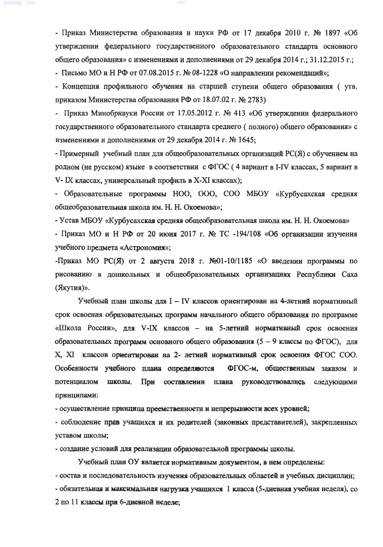- Приказ Министерства образования и науки РФ от 17 декабря 2010 г. № 1897 «Об утверждении федерального государственного образовательного стандарта основного общего образования» с изменениями и дополнениями от 29 декабря 2014 г.; 31.12.2015 г.;

- Письмо МО и Н РФ от 07.08.2015 г. № 08-1228 «О направлении рекомендаций»;

- Концепция профильного обучения на старшей ступени общего образования (утв. приказом Министерства образования РФ от 18.07.02 г. № 2783)

- Приказ Минобрнауки России от 17.05.2012 г. № 413 «Об утверждении федерального государственного образовательного стандарта среднего (полного) общего образования» с изменениями и дополнениями от 29 декабря 2014 г. № 1645;

- Примерный учебный план для общеобразовательных организаций РС(Я) с обучением на родном (не русском) языке в соответствии с ФГОС (4 вариант в I-IV классах, 5 вариант в V-IX классах, универсальный профиль в X-XI классах);

- Образовательные программы HOO, OOO, COO MБОУ «Курбусахская средняя общеобразовательная школа им. Н. Н. Окоемова»;

- Устав МБОУ «Курбусахская средняя общеобразовательная школа им. Н. Н. Окоемова» - Приказ МО и Н РФ от 20 июня 2017 г. № ТС -194/108 «Об организации изучения учебного предмета «Астрономия»;

-Приказ МО РС(Я) от 2 августа 2018 г. №01-10/1185 «О введении программы по рисованию в дошкольных и общеобразовательных организациях Республики Саха (Якутия)».

Учебный план школы для I - IV классов ориентирован на 4-летний нормативный срок освоения образовательных программ начального общего образования по программе «Школа России», для V-IX классов - на 5-летний нормативный срок освоения образовательных программ основного общего образования (5 - 9 классы по ФГОС), для X, XI классов ориентирован на 2- летний нормативный срок осноения ФГОС СОО. ФГОС-м, общественным заказом и Особенности учебного плана определяются потенциалом школы. При составлении плана руководствовались следующими принципами:

- осуществление принципа преемственности и непрерывности всех уровней;

- соблюдение прав учащихся и их родителей (законных представителей), закрепленных уставом школы;

- создание условий для реализации образовательной программы школы.

Учебный план ОУ является нормативным документом, в нем определены:

- состав и последовательность изучения образовательных областей и учебных дисциплин;

- обязательная и максимальная нагрузка учащихся 1 класса (5-дневная учебная неделя), со 2 по 11 классы при 6-дневной неделе;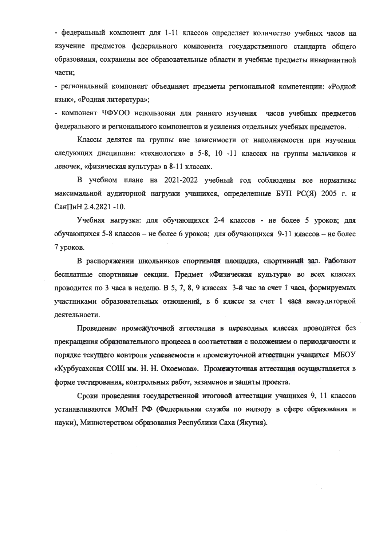- федеральный компонент для 1-11 классов определяет количество учебных часов на изучение предметов федерального компонента государственного стандарта общего образования, сохранены все образовательные области и учебные предметы инвариантной части;

- региональный компонент объединяет предметы региональной компетенции: «Родной язык», «Родная литература»;

- компонент ЧФУОО использован для раннего изучения часов учебных предметов федерального и регионального компонентов и усиления отдельных учебных предметов.

Классы делятся на группы вне зависимости от наполняемости при изучении следующих дисциплин: «технология» в 5-8, 10 -11 классах на группы мальчиков и девочек, «физическая культура» в 8-11 классах.

В учебном плане на 2021-2022 учебный год соблюдены все нормативы максимальной аудиторной нагрузки учащихся, определенные БУП РС(Я) 2005 г. и СанПиН 2.4.2821 -10.

Учебная нагрузка: для обучающихся 2-4 классов - не более 5 уроков; для обучающихся 5-8 классов - не более 6 уроков; для обучающихся 9-11 классов - не более 7 уроков.

В распоряжении школьников спортивная площадка, спортивный зал. Работают бесплатные спортивные секции. Предмет «Физическая культура» во всех классах проводится по 3 часа в неделю. В 5, 7, 8, 9 классах 3-й час за счет 1 часа, формируемых участниками образовательных отношений, в 6 классе за счет 1 часа внеаудиторной деятельности.

Проведение промежуточной аттестации в переводных классах проводится без прекращения образовательного процесса в соответствии с положением о периодичности и порядке текущего контроля успеваемости и промежуточной аттестации учащихся МБОУ «Курбусахская СОШ им. Н. Н. Окоемова». Промежуточная аттестация осуществляется в форме тестирования, контрольных работ, экзаменов и защиты проекта.

Сроки проведения государственной итоговой аттестации учащихся 9, 11 классов устанавливаются МОиН РФ (Федеральная служба по надзору в сфере образования и науки), Министерством образования Республики Саха (Якутия).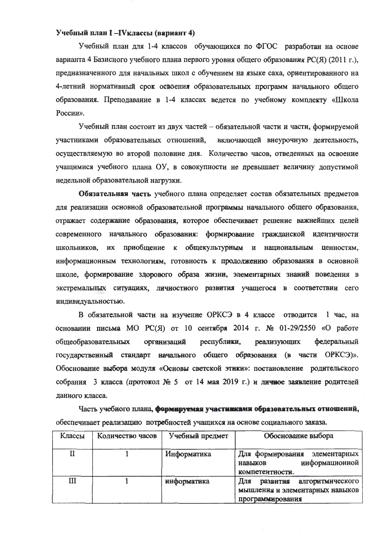#### Учебный план I-IVклассы (вариант 4)

Учебный план для 1-4 классов обучающихся по ФГОС разработан на основе варианта 4 Базисного учебного плана первого уровня общего образования РС(Я) (2011 г.), предназначенного для начальных школ с обучением на языке саха, ориентированного на 4-летний нормативный срок освоения образовательных программ начального общего образования. Преподавание в 1-4 классах ведется по учебному комплекту «Школа России».

Учебный план состоит из двух частей - обязательной части и части, формируемой участниками образовательных отношений, включающей внеурочную деятельность, осуществляемую во второй половине дня. Количество часов, отведенных на освоение учащимися учебного плана ОУ, в совокупности не превышает величину допустимой недельной образовательной нагрузки.

Обязательная часть учебного плана определяет состав обязательных предметов для реализации основной образовательной программы начального общего образования, отражает содержание образования, которое обеспечивает решение важнейших целей современного начального образования: формирование гражданской идентичности школьников, их приобщение к общекультурным и национальным ценностям, информационным технологиям, готовность к продолжению образования в основной школе, формирование здорового образа жизни, элементарных знаний поведения в экстремальных ситуациях, личностного развития учащегося в соответствии сего индивидуальностью.

В обязательной части на изучение ОРКСЭ в 4 классе отводится 1 час, на основании письма МО РС(Я) от 10 сентября 2014 г. № 01-29/2550 «О работе общеобразовательных республики, организаций реализующих федеральный государственный стандарт начального общего образования (в части ОРКСЭ)». Обоснование выбора модуля «Основы светской этики»: постановление родительского собрания 3 класса (протокол № 5 от 14 мая 2019 г.) и личное заявление родителей данного класса.

Часть учебного плана, формируемая участияками образовательных отношений, обеспечивает реализацию потребностей учащихся на основе социального заказа.

| Классы      | Количество часов | Учебный предмет | Обоснование выбора                                                                         |
|-------------|------------------|-----------------|--------------------------------------------------------------------------------------------|
| $_{\rm II}$ |                  | Информатика     | Для формирования<br>элементарных<br>информационной<br>навыков<br>компетентности.           |
| Ш           |                  | информатика     | Для<br>развития<br>алгоритмического<br>мышления и элементарных навыков<br>программирования |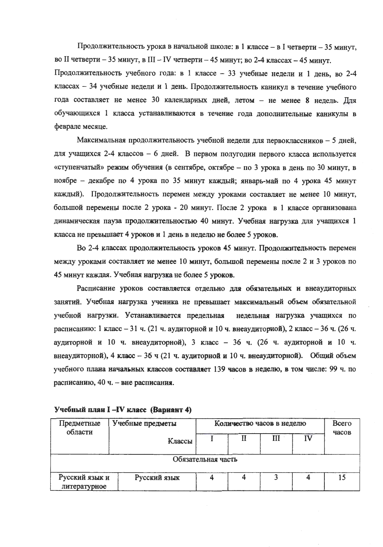Продолжительность урока в начальной школе: в 1 классе – в I четверти – 35 минут, во II четверти - 35 минут, в III - IV четверти - 45 минут; во 2-4 классах - 45 минут. Продолжительность учебного года: в 1 классе - 33 учебные недели и 1 день, во 2-4 классах - 34 учебные недели и 1 день. Продолжительность каникул в течение учебного года составляет не менее 30 календарных дней, летом - не менее 8 недель. Для обучающихся 1 класса устанавливаются в течение года дополнительные каникулы в феврале месяце.

Максимальная продолжительность учебной недели для первоклассников - 5 дней, для учащихся 2-4 классов - 6 дней. В первом полугодии первого класса используется «ступенчатый» режим обучения (в сентябре, октябре - по 3 урока в день по 30 минут, в ноябре - декабре по 4 урока по 35 минут каждый; январь-май по 4 урока 45 минут каждый). Продолжительность перемен между уроками составляет не менее 10 минут, большой перемены после 2 урока - 20 минут. После 2 урока в 1 классе организована динамическая пауза продолжительностью 40 минут. Учебная нагрузка для учащихся 1 класса не превышает 4 уроков и 1 день в неделю не более 5 уроков.

Во 2-4 классах продолжительность уроков 45 минут. Продолжительность перемен между уроками составляет не менее 10 минут, большой перемены после 2 и 3 уроков по 45 минут каждая. Учебная нагрузка не более 5 уроков.

Расписание уроков составляется отдельно для обязательных и внеаудиторных занятий. Учебная нагрузка ученика не превышает максимальный объем обязательной учебной нагрузки. Устанавливается предельная недельная нагрузка учащихся по расписанию: 1 класс - 31 ч. (21 ч. аудиторной и 10 ч. внеаудиторной), 2 класс - 36 ч. (26 ч. аудиторной и 10 ч. внеаудиторной), 3 класс - 36 ч. (26 ч. аудиторной и 10 ч. внеаудиторной), 4 класс - 36 ч (21 ч. аудиторной и 10 ч. внеаудиторной). Общий объем учебного плана начальных классов составляет 139 часов в неделю, в том числе: 99 ч. по расписанию, 40 ч. - вне расписания.

| Предметные<br>области          | Учебные предметы | Количество часов в неделю |  |   |   | Всего |
|--------------------------------|------------------|---------------------------|--|---|---|-------|
|                                | Классы           |                           |  | Ш | W | часов |
|                                |                  | Обязательная часть        |  |   |   |       |
| Русский язык и<br>литературное | Русский язык     |                           |  |   |   |       |

Учебный план I-IV класс (Вариант 4)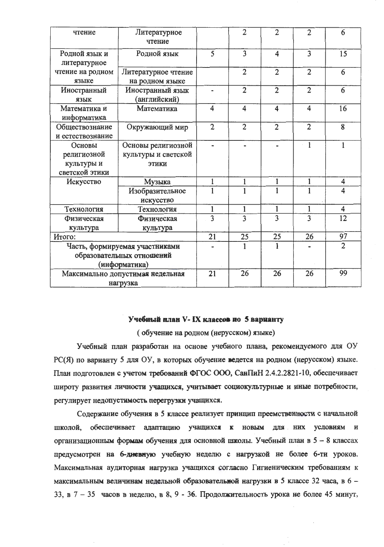| чтение                                                                       | Литературное<br>чтение                             |                         | $\overline{2}$          | $\overline{2}$          | $\overline{2}$          | 6                       |
|------------------------------------------------------------------------------|----------------------------------------------------|-------------------------|-------------------------|-------------------------|-------------------------|-------------------------|
| Родной язык и<br>литературное                                                | Родной язык                                        | $\overline{5}$          | $\overline{3}$          | $\overline{\mathbf{4}}$ | $\overline{3}$          | 15                      |
| чтение на родном<br>языке                                                    | Литературное чтение<br>на родном языке             |                         | $\overline{2}$          | $\overline{2}$          | $\overline{2}$          | 6                       |
| Иностранный<br>язык                                                          | Иностранный язык<br>(английский)                   |                         | $\overline{2}$          | $\overline{2}$          | $\overline{2}$          | 6                       |
| Математика и<br>информатика                                                  | Математика                                         | $\overline{\mathbf{4}}$ | $\overline{\mathbf{4}}$ | $\overline{\mathbf{4}}$ | $\overline{\mathbf{4}}$ | 16                      |
| Обществознание<br>и естествознание                                           | Окружающий мир                                     | $\overline{2}$          | $\overline{2}$          | $\overline{2}$          | $\overline{2}$          | 8                       |
| Основы<br>религиозной<br>культуры и                                          | Основы религиозной<br>культуры и светской<br>ЭТИКИ |                         |                         |                         | 1                       | 1                       |
| светской этики<br>Искусство                                                  | Музыка                                             | $\mathbf{1}$            | 1                       | $\mathbf{1}$            | $\mathbf{1}$            | $\overline{\mathbf{4}}$ |
|                                                                              | Изобразительное<br>искусство                       |                         | 1                       | 1                       | 1                       | $\overline{\mathbf{4}}$ |
| Технология                                                                   | Технология                                         | $\mathbf{1}$            | $\mathbf{1}$            | $\mathbf{1}$            | $\mathbf{1}$            | $\overline{\mathbf{4}}$ |
| Физическая<br>культура                                                       | Физическая<br>культура                             | $\overline{3}$          | $\overline{3}$          | $\overline{3}$          | $\overline{3}$          | $\overline{12}$         |
| Итого:                                                                       |                                                    | 21                      | 25                      | 25                      | 26                      | 97                      |
| Часть, формируемая участниками<br>образовательных отношений<br>(информатика) |                                                    |                         | 1                       |                         |                         | $\overline{2}$          |
| Максимально допустимая недельная<br>нагрузка                                 |                                                    | 21                      | 26                      | 26                      | 26                      | 99                      |

#### Учебный план V- IX классов по 5 варианту

(обучение на родном (нерусском) языке)

Учебный план разработан на основе учебного плана, рекомендуемого для ОУ РС(Я) по варианту 5 для ОУ, в которых обучение ведется на родном (нерусском) языке. План подготовлен с учетом требований ФГОС ООО, СанПиН 2.4.2.2821-10, обеспечивает широту развития личности учащихся, учитывает социокультурные и иные потребности, регулирует недопустимость перегрузки учащихся.

Содержание обучения в 5 классе реализует принцип преемственности с начальной школой, обеспечивает адаптацию учащихся к новым для них условиям и организационным формам обучения для основной школы. Учебный план в 5 - 8 классах предусмотрен на 6-диевную учебную неделю с нагрузкой не более 6-ти уроков. Максимальная аудиторная нагрузка учащихся согласно Гигиеническим требованиям к максимальным величинам недельной образовательной нагрузки в 5 классе 32 часа, в 6 -33, в  $7 - 35$  часов в неделю, в 8, 9 - 36. Продолжительность урока не более 45 минут,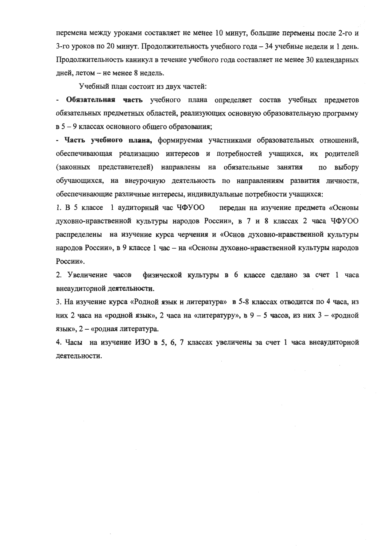перемена между уроками составляет не менее 10 минут, большие перемены после 2-го и 3-го уроков по 20 минут. Продолжительность учебного года - 34 учебные недели и 1 день. Продолжительность каникул в течение учебного года составляет не менее 30 календарных дней, летом - не менее 8 недель.

Учебный план состоит из лвух частей:

- Обязательная часть учебного плана определяет состав учебных предметов обязательных предметных областей, реализующих основную образовательную программу в 5 - 9 классах основного общего образования;

- Часть учебного плана, формируемая участниками образовательных отношений, обеспечивающая реализацию интересов и потребностей учащихся, их родителей (законных представителей) направлены на обязательные занятия по выбору обучающихся, на внеурочную деятельность по направлениям развития личности, обеспечивающие различные интересы, индивидуальные потребности учащихся:

1. В 5 классе 1 аудиторный час ЧФУОО передан на изучение предмета «Основы духовно-нравственной культуры народов России», в 7 и 8 классах 2 часа ЧФУОО распределены на изучение курса черчения и «Основ духовно-нравственной культуры народов России», в 9 классе 1 час - на «Основы духовно-нравственной культуры народов России».

2. Увеличение часов физической культуры в 6 классе сделано за счет 1 часа внеаудиторной деятельности.

3. На изучение курса «Родной язык и литература» в 5-8 классах отводится по 4 часа, из них 2 часа на «родной язык», 2 часа на «литературу», в 9 - 5 часов, из них  $3 -$  «родной язык», 2 - «родная литература.

4. Часы на изучение ИЗО в 5, 6, 7 классах увеличены за счет 1 часа внеаудиторной деятельности.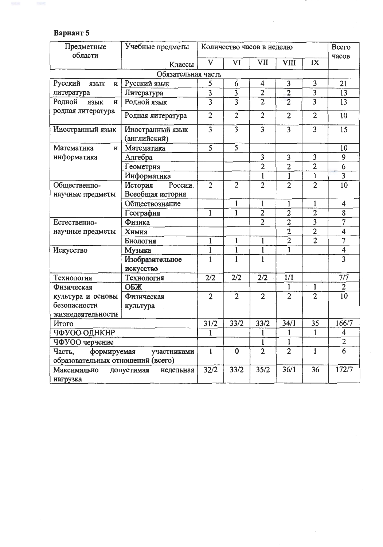# Вариант 5

| Предметные                           | Учебные предметы<br>Всего<br>Количество часов в неделю |                                           |                     |                         |                         |                     |                         |
|--------------------------------------|--------------------------------------------------------|-------------------------------------------|---------------------|-------------------------|-------------------------|---------------------|-------------------------|
| области                              |                                                        | $\mathbf{V}$                              | VI                  | VII                     | VIII                    | IX                  | часов                   |
|                                      | Классы                                                 |                                           |                     |                         |                         |                     |                         |
|                                      | Обязательная часть                                     |                                           |                     |                         | 3                       | 3                   | 21                      |
| Русский<br>язык<br>И                 | Русский язык                                           | 5                                         | 6                   | 4<br>$\overline{2}$     |                         |                     | 13                      |
| литература                           | Литература                                             | $\overline{\mathbf{3}}$<br>$\overline{3}$ | 3<br>$\overline{3}$ | $\overline{2}$          | $\frac{2}{2}$           | 3<br>$\overline{3}$ | 13                      |
| Родной<br>язык<br>И                  | Родной язык                                            |                                           |                     |                         |                         |                     |                         |
| родная литература                    | Родная литература                                      | $\overline{2}$                            | $\overline{2}$      | $\overline{2}$          | $\overline{2}$          | $\overline{2}$      | 10                      |
| Иностранный язык                     | Иностранный язык<br>(английский)                       | $\overline{\mathbf{3}}$                   | $\overline{3}$      | $\overline{3}$          | $\overline{3}$          | $\overline{3}$      | 15                      |
| Математика<br>И                      | Математика                                             | $\overline{5}$                            | 5                   |                         |                         |                     | 10                      |
| информатика                          | Алгебра                                                |                                           |                     | $\overline{\mathbf{3}}$ | $\overline{\mathbf{3}}$ | 3                   | 9                       |
|                                      | Геометрия                                              |                                           |                     | $\overline{2}$          | $\overline{2}$          | $\overline{2}$      | $\overline{6}$          |
|                                      | Информатика                                            |                                           |                     | 1                       | $\mathbf{1}$            | 1                   | $\overline{3}$          |
| Общественно-                         | История<br>России.                                     | $\overline{2}$                            | $\overline{2}$      | $\overline{2}$          | $\overline{2}$          | $\overline{2}$      | 10                      |
| научные предметы                     | Всеобщая история                                       |                                           |                     |                         |                         |                     |                         |
|                                      | Обществознание                                         |                                           | $\mathbf{1}$        | $\mathbf 1$             | 1                       | $\mathbf{1}$        | $\overline{4}$          |
|                                      | География                                              | $\mathbf{1}$                              | $\overline{1}$      | $\overline{2}$          | $\overline{2}$          | $\overline{2}$      | 8                       |
| Естественно-                         | Физика                                                 |                                           |                     | $\overline{2}$          | $\overline{2}$          | $\overline{3}$      | $\overline{7}$          |
| научные предметы                     | Химия                                                  |                                           |                     |                         | $\overline{2}$          | $\overline{2}$      | $\overline{\mathbf{4}}$ |
|                                      | Биология                                               | $\mathbf{1}$                              | $\mathbf{1}$        | 1                       | $\overline{2}$          | $\overline{2}$      | $\overline{7}$          |
| Искусство                            | Музыка                                                 | $\mathbf{1}$                              | 1                   | 1                       | $\mathbf{1}$            |                     | $\overline{\mathbf{4}}$ |
|                                      | Изобразительное                                        | $\mathbf{1}$                              | 1                   | 1                       |                         |                     | $\overline{3}$          |
|                                      | искусство                                              |                                           |                     |                         |                         |                     |                         |
| Технология                           | Технология                                             | 2/2                                       | 2/2                 | 2/2                     | 1/1                     |                     | 7/7                     |
| Физическая                           | ОБЖ                                                    |                                           |                     |                         | 1                       | $\mathbf{1}$        | $\overline{2}$          |
| культура и основы                    | Физическая                                             | $\overline{2}$                            | $\overline{2}$      | $\overline{2}$          | $\overline{2}$          | $\overline{2}$      | 10                      |
| безопасности                         | культура                                               |                                           |                     |                         |                         |                     |                         |
| жизнедеятельности                    |                                                        |                                           |                     |                         |                         |                     |                         |
| Итого                                |                                                        | 31/2                                      | 33/2                | 33/2                    | 34/1                    | 35                  | 166/7                   |
| ЧФУОО ОДНКНР                         |                                                        | $\mathbf{1}$                              |                     | $\mathbf{1}$            | $\mathbf{1}$            | $\overline{1}$      | $\overline{\mathbf{4}}$ |
| ЧФУОО черчение                       |                                                        |                                           |                     | $\mathbf{1}$            | $\mathbf{1}$            |                     | $\overline{2}$          |
| Часть,<br>формируемая<br>участниками |                                                        | $\mathbf{1}$                              | $\bf{0}$            | $\overline{2}$          | $\overline{2}$          | 1                   | $\overline{6}$          |
| образовательных отношений (всего)    |                                                        |                                           |                     |                         |                         |                     |                         |
| Максимально                          | допустимая<br>недельная                                | 32/2                                      | 33/2                | 35/2                    | 36/1                    | 36                  | 172/7                   |
| нагрузка                             |                                                        |                                           |                     |                         |                         |                     |                         |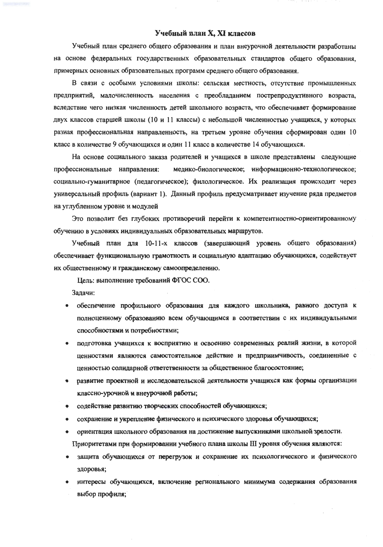### Учебный план X, XI классов

Учебный план среднего общего образования и план внеурочной деятельности разработаны на основе федеральных государственных образовательных стандартов общего образования, примерных основных образовательных программ среднего общего образования.

В связи с особыми условиями школы: сельская местность, отсутствие промышленных предприятий, малочисленность населения с преобладанием пострепродуктивного возраста, вследствие чего низкая численность детей школьного возраста, что обеспечивает формирование двух классов старшей школы (10 и 11 классы) с небольшой численностью учащихся, у которых разная профессиональная направленность, на третьем уровне обучения сформирован один 10 класс в количестве 9 обучающихся и один 11 класс в количестве 14 обучающихся.

На основе социального заказа родителей и учащихся в школе представлены следующие медико-биологическое; информационно-технологическое; профессиональные направления: социально-гуманитарное (педагогическое); филологическое. Их реализация происходит через универсальный профиль (вариант 1). Данный профиль предусматривает изучение ряда предметов на углубленном уровне и модулей

Это позволит без глубоких противоречий перейти к компетентностно-ориентированному обучению в условиях индивидуальных образовательных маршрутов.

Учебный план для 10-11-х классов (завершающий уровень общего образования) обеспечивает функциональную грамотность и социальную адаптацию обучающихся, содействует их общественному и гражданскому самоопределению.

Цель: выполнение требований ФГОС СОО.

Задачи:

- обеспечение профильного образования для каждого школьника, равного доступа к полноценному образованию всем обучающимся в соответствии с их индивидуальными способностями и потребностями;
- подготовка учащихся к восприятию и освоению современных реалий жизни, в которой ценностями являются самостоятельное действие и предприимчивость, соединенные с ценностью солидарной ответственности за общественное благосостояние;
- развитие проектной и исследовательской деятельности учащихся как формы организации  $\bullet$ классно-урочной и внеурочной работы;
- содействие развитию творческих способностей обучающихся;  $\bullet$
- сохранение и укрепление физического и психического здоровья обучающихся;  $\bullet$
- ориентация школьного образования на достижение выпускниками школьной зрелости.  $\bullet$ Приоритетами при формировании учебного плана школы III уровня обучения являются:
- защита обучающихся от перегрузок и сохранение их психологического и физического  $\bullet$ здоровья;
- интересы обучающихся, включение регионального минимума содержания образования выбор профиля;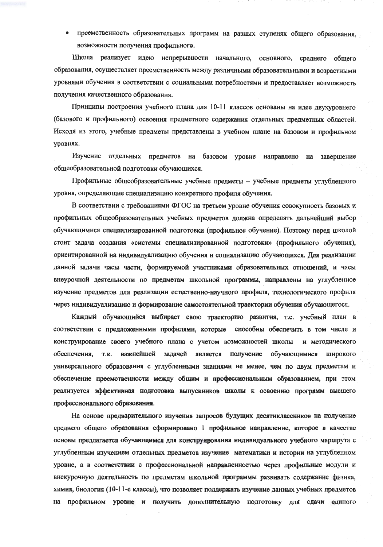преемственность образовательных программ на разных ступенях общего образования, возможности получения профильного.

Школа реализует идею непрерывности начального, основного, среднего общего образования, осуществляет преемственность между различными образовательными и возрастными уровнями обучения в соответствии с социальными потребностями и предоставляет возможность получения качественного образования.

Принципы построения учебного плана для 10-11 классов основаны на идее двухуровнего (базового и профильного) освоения предметного содержания отдельных предметных областей. Исходя из этого, учебные предметы представлены в учебном плане на базовом и профильном уровнях.

Изучение отдельных предметов на базовом уровне направлено на завершение общеобразовательной подготовки обучающихся.

Профильные общеобразовательные учебные предметы - учебные предметы углубленного уровня, определяющие специализацию конкретного профиля обучения.

В соответствии с требованиями ФГОС на третьем уровне обучения совокупность базовых и профильных общеобразовательных учебных предметов должна определять дальнейший выбор обучающимися специализированной подготовки (профильное обучение). Поэтому перед школой стоит задача создания «системы специализированной подготовки» (профильного обучения), ориентированной на индивидуализацию обучения и социализацию обучающихся. Для реализации данной задачи часы части, формируемой участниками образовательных отношений, и часы внеурочной деятельности по предметам школьной программы, направлены на углубленное изучение предметов для реализации естественно-научного профиля, технологического профиля через индивидуализацию и формирование самостоятельной траектории обучения обучающегося.

Каждый обучающийся выбирает свою траекторию развития, т.е. учебный план в соответствии с предложенными профилями, которые способны обеспечить в том числе и конструирование своего учебного плана с учетом возможностей школы и методического обеспечения. **T.K.** важнейшей задачей является получение обучающимися широкого универсального образования с углубленными знаниями не менее, чем по двум предметам и обеспечение преемственности между общим и профессиональным образованием, при этом реализуется эффективная подготовка выпускников школы к освоению программ высшего профессионального образования.

На основе предварительного изучения запросов будущих десятиклассников на получение среднего общего образования сформировано 1 профильное направление, которое в качестве основы предлагается обучающимся для конструирования индивидуального учебного маршрута с углубленным изучением отдельных предметов изучение математики и истории на углубленном уровне, а в соответствии с профессиональной направленностью через профильные модули и внекурочную деятельность по предметам школьной программы развивать содержание физика, химия, биология (10-11-е классы), что позволяет поддержать изучение данных учебных предметов на профильном уровне и получить дополнительную подготовку для сдачи единого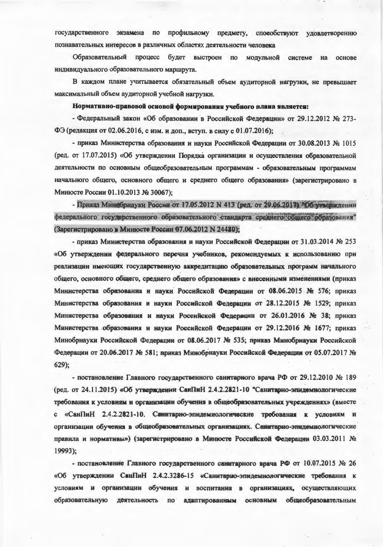государственного экзамена по профильному предмету, способствуют удовлетворению познавательных интересов в различных областях леятельности человека

Образовательный процесс будет выстроен по молульной системе на  $OCHOBA$ индивидуального образовательного маршрута.

В каждом плане учитывается обязательный объем аулиторной нагрузки, не превышает максимальный объем аудиторной учебной нагрузки.

#### Нормативно-правовой основой формирования учебного плана является:

- Федеральный закон «Об образовании в Российской Фелерации» от 29.12.2012 № 273-ФЭ (редакция от 02.06.2016, с изм. и доп., вступ. в силу с 01.07.2016):

- приказ Министерства образования и науки Российской Фелерации от 30.08.2013 № 1015 (ред. от 17.07.2015) «Об утверждении Порядка организации и осуществления образовательной деятельности по основным общеобразовательным программам - образовательным программам начального общего, основного общего и среднего общего образования» (зарегистрировано в Минюсте России 01.10.2013 № 30067):

- Приказ Минебрнауки России от 17.05.2012 N 413 (ред. от 29.06.2013). Об утверждении федерального государственного образовательного стандарта среднего общего образования" (Зарегистрировано в Минюсте России 07.06.2012 N 24480):

- приказ Министерства образования и науки Российской Фелерации от 31.03.2014 № 253 «Об утверждении федерального перечня учебников, рекоменлуемых к использованию при реализации имеющих государственную аккредитацию образовательных программ начального общего, основного общего, среднего общего образования» с внесенными изменениями (приказ Министерства образования и науки Российской Фелерации от 08.06.2015 № 576: приказ Министерства образования и науки Российской Федерации от 28.12.2015 № 1529: приказ Министерства образования и науки Росеийской Федерации от 26.01.2016 № 38: приказ Министерства образования и науки Российской Федерации от 29.12.2016 № 1677: приказ Минобрнауки Российской Федерации от 08.06.2017 № 535; приказ Минобрнауки Российской Федерации от 20.06.2017 № 581; приказ Минобрнауки Российской Федерации от 05.07.2017 №  $629$ :

- постановление Главного государственного санитарного врача РФ от 29.12.2010 № 189 (ред. от 24.11.2015) «Об утверждении СанПиН 2.4.2.2821-10 "Санитарно-элидемнологические требования к условиям и организации обучения в общеобразовательных учреждениях» (вместе с «СанПиН 2.4.2.2821-10. Санитарно-эпилемиологические требования к условиям и организации обучения в общеобразовательных организациях. Санитарно-эпидемиологические правила и нормативы») (зарегистрировано в Минюсте Российской Фелерации 03.03.2011 No 19993);

- постановление Главного государственного санитарного врача РФ от 10.07.2015 № 26 «Об утверждении СанПиН 2.4.2.3286-15 «Санитарно-эпидемиологические требования к условиям и организации обучения и воспитания в организациях, осуществляющих образовательную деятельность по адаптированным основным общеобразовательным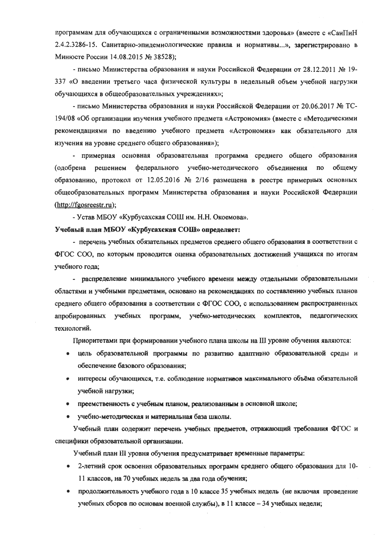программам для обучающихся с ограниченными возможностями здоровья» (вместе с «СанПиН 2.4.2.3286-15. Санитарно-эпидемиологические правила и нормативы...», зарегистрировано в Минюсте России 14.08.2015 № 38528);

- письмо Министерства образования и науки Российской Федерации от 28.12.2011 № 19-337 «О введении третьего часа физической культуры в недельный объем учебной нагрузки обучающихся в общеобразовательных учреждениях»;

- письмо Министерства образования и науки Российской Федерации от 20.06.2017 № ТС-194/08 «Об организации изучения учебного предмета «Астрономия» (вместе с «Методическими рекомендациями по введению учебного предмета «Астрономия» как обязательного для изучения на уровне среднего общего образования»);

- примерная основная образовательная программа среднего общего образования (одобрена решением федерального учебно-методического объединения по общему образованию, протокол от 12.05.2016 № 2/16 размещена в реестре примерных основных общеобразовательных программ Министерства образования и науки Российской Федерации (http://fgosreestr.ru);

- Устав МБОУ «Курбусахская СОШ им. Н.Н. Окоемова».

#### Учебный план МБОУ «Курбусахская СОШ» определяет:

- перечень учебных обязательных предметов среднего общего образования в соответствии с ФГОС СОО, по которым проводится оценка образовательных достижений учащихся по итогам учебного года;

- распределение минимального учебного времени между отдельными образовательными областями и учебными предметами, основано на рекомендациях по составлению учебных планов среднего общего образования в соответствии с ФГОС СОО, с использованием распространенных апробированных учебных программ, учебно-методических комплектов, педагогических технологий.

Приоритетами при формировании учебного плана школы на III уровне обучения являются:

- цель образовательной программы по развитию адаптивно образовательной среды и обеспечение базового образования;
- интересы обучающихся, т.е. соблюдение нормативов максимального объёма обязательной учебной нагрузки;
- преемственность с учебным планом, реализованным в основной школе;
- учебно-методическая и материальная база школы.

Учебный план содержит перечень учебных предметов, отражающий требования ФГОС и специфики образовательной организации.

Учебный план III уровня обучения предусматривает временные параметры:

- 2-летний срок освоения образовательных программ среднего общего образования для 10-11 классов, на 70 учебных недель за два года обучения;
- продолжительность учебного года в 10 классе 35 учебных недель (не включая проведение учебных сборов по основам военной службы), в 11 классе - 34 учебных недели;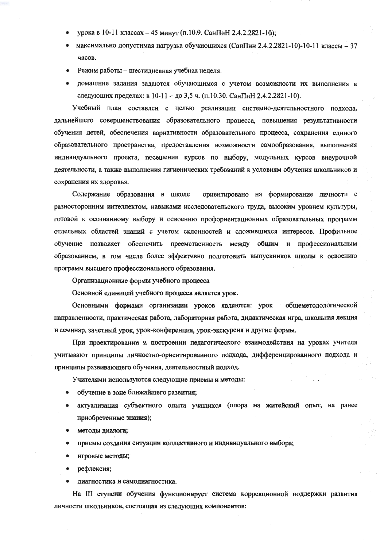- урока в 10-11 классах 45 минут (п.10.9. СанПиН 2.4.2.2821-10);
- максимально допустимая нагрузка обучающихся (СанПин 2.4.2.2821-10)-10-11 классы 37 часов.
- Режим работы шестидневная учебная неделя.  $\bullet$
- домашние задания задаются обучающимся с учетом возможности их выполнения в следующих пределах: в 10-11 - до 3,5 ч. (п.10.30. СанПиН 2.4.2.2821-10).

Учебный план составлен с целью реализации системно-деятельностного подхода, дальнейшего совершенствования образовательного процесса, повышения результативности обучения детей, обеспечения вариативности образовательного процесса, сохранения единого образовательного пространства, предоставления возможности самообразования, выполнения индивидуального проекта, посещения курсов по выбору, модульных курсов внеурочной деятельности, а также выполнения гигиенических требований к условиям обучения школьников и сохранения их здоровья.

Содержание образования в школе ориентировано на формирование личности с разносторонним интеллектом, навыками исследовательского труда, высоким уровнем культуры, готовой к осознанному выбору и освоению профориентационных образовательных программ отдельных областей знаний с учетом склонностей и сложившихся интересов. Профильное обучение позволяет обеспечить преемственность между общим и профессиональным образованием, в том числе более эффективно подготовить выпускников школы к освоению программ высшего профессионального образования.

Организационные формы учебного процесса

Основной единицей учебного процесса является урок.

Основными формами организации уроков являются: урок общеметодологической направленности, практическая работа, лабораторная работа, дидактическая игра, школьная лекция и семинар, зачетный урок, урок-конференция, урок-экскурсия и другие формы.

При проектировании и построении педагогического взаимодействия на уроках учителя учитывают принципы личностно-ориентированного подхода, дифференцированного подхода и принципы развивающего обучения, деятельностный подход.

Учителями используются следующие приемы и методы:

- обучение в зоне ближайшего развития;
- актуализация субъектного опыта учащихся (опора на житейский опыт, на ранее  $\bullet$ приобретенные знания);
- методы диалога;
- приемы создания ситуации коллективного и индивидуального выбора;
- игровые методы;
- рефлексия;
- диагностика и самодиагностика.

На III ступени обучения функционирует система коррекционной поддержки развития личности школьников, состоящая из следующих компонентов: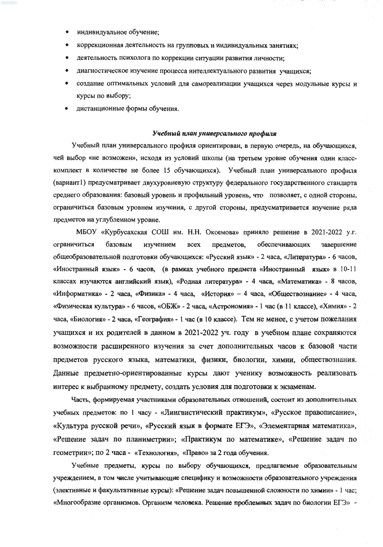- индивидуальное обучение;
- коррекционная деятельность на групповых и индивидуальных занятиях;
- деятельность психолога по коррекции ситуации развития личности:
- диагностическое изучение процесса интеллектуального развития учащихся;
- создание оптимальных условий для самореализации учащихся через модульные курсы и курсы по выбору;
- дистанционные формы обучения.

#### Учебный план универсального профиля

Учебный план универсального профиля ориентирован, в первую очередь, на обучающихся, чей выбор «не возможен», исходя из условий школы (на третьем уровне обучения один класскомплект в количестве не более 15 обучающихся). Учебный план универсального профиля (вариант1) предусматривает двухуровневую структуру федерального государственного стандарта среднего образования: базовый уровень и профильный уровень, что позволяет, с одной стороны, ограничиться базовым уровнем изучения, с другой стороны, предусматривается изучение ряда предметов на углубленном уровне.

МБОУ «Курбусахская СОШ им. Н.Н. Окоемова» приняло решение в 2021-2022 у.г. ограничиться базовым изучением **BCCX** предметов, обеспечивающих завершение общеобразовательной подготовки обучающихся: «Русский язык» - 2 часа, «Литература» - 6 часов, «Иностранный язык» - 6 часов, (в рамках учебного предмета «Иностранный язык» в 10-11 классах изучаются английский язык), «Родная литература» - 4 часа, «Математика» - 8 часов, «Информатика» - 2 часа, «Физика» - 4 часа, «История» - 4 часа, «Обществознание» - 4 часа, «Физическая культура» - 6 часов, «ОБЖ» - 2 часа, «Астрономия» - 1 час (в 11 классе), «Химия» - 2 часа, «Биология» - 2 часа, «География» - 1 час (в 10 классе). Тем не менее, с учетом пожелания учащихся и их родителей в данном в 2021-2022 уч. году в учебном плане сохраняются возможности расширенного изучения за счет дополнительных часов к базовой части предметов русского языка, математики, физики, биологии, химии, обществознания. Данные предметно-ориентированные курсы дают ученику возможность реализовать интерес к выбранному предмету, создать условия для подготовки к экзаменам.

Часть, формируемая участниками образовательных отношений, состоит из дополнительных учебных предметов: по 1 часу - «Лингвистический практикум», «Русское правописание», «Культура русской речи», «Русский язык в формате ЕГЭ», «Элементарная математика», «Решение задач по планиметрии»; «Практикум по математике», «Решение задач по геометрии»; по 2 часа - «Технология», «Право» за 2 года обучения.

Учебные предметы, курсы по выбору обучающихся, предлагаемые образовательным учреждением, в том числе учитывающие специфику и возможности образовательного учреждения (элективные и факультативные курсы): «Решение задач повышенной сложности по химии» - 1 час; «Многообразие организмов. Организм человека. Решение проблемных задач по биологии ЕГЭ» -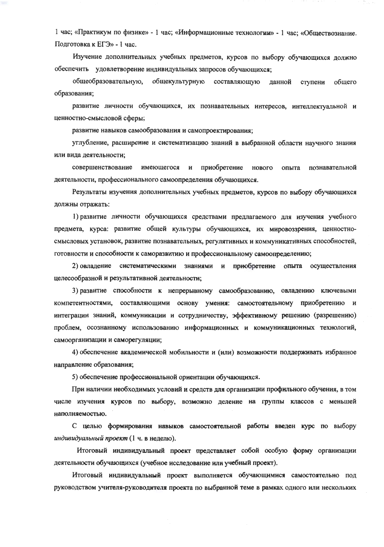1 час; «Практикум по физике» - 1 час; «Информационные технологии» - 1 час; «Обществознание. Подготовка к ЕГЭ» - 1 час.

Изучение дополнительных учебных предметов, курсов по выбору обучающихся должно обеспечить удовлетворение индивидуальных запросов обучающихся;

общеобразовательную, общекультурную составляющую ланной ступени общего образования;

развитие личности обучающихся, их познавательных интересов, интеллектуальной и ценностно-смысловой сферы;

развитие навыков самообразования и самопроектирования;

углубление, расширение и систематизацию знаний в выбранной области научного знания или вида деятельности:

совершенствование имеющегося и приобретение нового опыта познавательной деятельности, профессионального самоопределения обучающихся.

Результаты изучения дополнительных учебных предметов, курсов по выбору обучающихся должны отражать:

1) развитие личности обучающихся средствами предлагаемого для изучения учебного предмета, курса: развитие общей культуры обучающихся, их мировоззрения, ценностносмысловых установок, развитие познавательных, регулятивных и коммуникативных способностей, готовности и способности к саморазвитию и профессиональному самоопределению;

2) овладение систематическими знаниями и приобретение опыта осуществления целесообразной и результативной деятельности;

3) развитие способности к непрерывному самообразованию, овладению ключевыми компетентностями, составляющими основу умения: самостоятельному приобретению и интеграции знаний, коммуникации и сотрудничеству, эффективному решению (разрешению) проблем, осознанному использованию информационных и коммуникационных технологий, самоорганизации и саморегуляции;

4) обеспечение академической мобильности и (или) возможности поддерживать избранное направление образования;

5) обеспечение профессиональной ориентации обучающихся.

При наличии необходимых условий и средств для организации профильного обучения, в том числе изучения курсов по выбору, возможно деление на группы классов с меньшей наполняемостью.

С целью формирования навыков самостоятельной работы введен курс по выбору индивидуальный проект (1 ч. в неделю).

Итоговый индивидуальный проект представляет собой особую форму организации деятельности обучающихся (учебное исследование или учебный проект).

Итоговый индивидуальный проект выполняется обучающимися самостоятельно под руководством учителя-руководителя проекта по выбранной теме в рамках одного или нескольких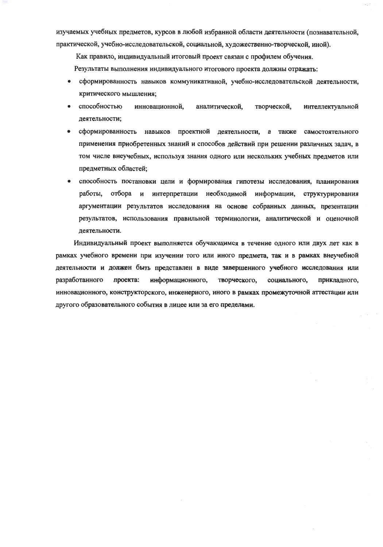изучаемых учебных предметов, курсов в любой избранной области деятельности (познавательной, практической, учебно-исследовательской, социальной, художественно-творческой, иной).

Как правило, индивидуальный итоговый проект связан с профилем обучения.

Результаты выполнения индивидуального итогового проекта должны отражать:

- сформированность навыков коммуникативной, учебно-исследовательской деятельности, критического мышления;
- способностью инновационной. аналитической, творческой, интеллектуальной деятельности;
- сформированность навыков проектной деятельности, а также самостоятельного применения приобретенных знаний и способов действий при решении различных задач, в том числе внеучебных, используя знания одного или нескольких учебных предметов или предметных областей;
- способность постановки цели и формирования гипотезы исследования, планирования работы, отбора и интерпретации необходимой информации, структурирования аргументации результатов исследования на основе собранных данных, презентации результатов, использования правильной терминологии, аналитической и оценочной деятельности.

Индивидуальный проект выполняется обучающимся в течение одного или двух лет как в рамках учебного времени при изучении того или иного предмета, так и в рамках внеучебной деятельности и должен быть представлен в виде завершенного учебного исследования или разработанного проекта: информационного, творческого, социального, прикладного, инновационного, конструкторского, инженерного, иного в рамках промежуточной аттестации или другого образовательного события в лицее или за его пределами.